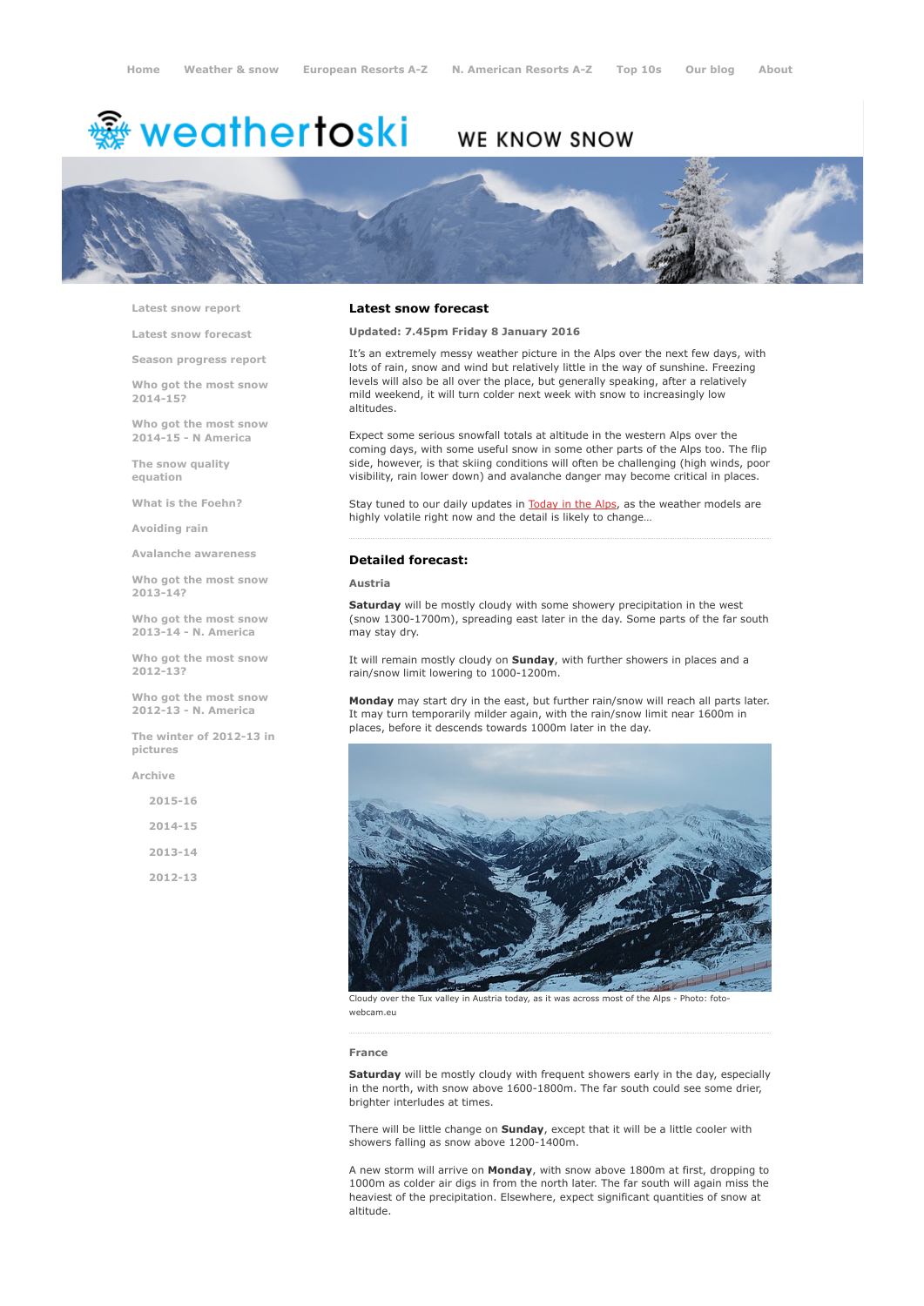# <del>鑾</del> weathertoski

## WE KNOW SNOW



Latest snow [report](http://www.weathertoski.co.uk/weather-snow/latest-snow-report/)

Latest snow [forecast](http://www.weathertoski.co.uk/weather-snow/latest-snow-forecast/)

Season [progress](http://www.weathertoski.co.uk/weather-snow/season-progress-report/) report

Who got the most snow 2014-15?

Who got the most snow 2014-15 - N America

The snow quality [equation](http://www.weathertoski.co.uk/weather-snow/the-snow-quality-equation/)

What is the [Foehn?](http://www.weathertoski.co.uk/weather-snow/what-is-the-foehn/)

[Avoiding](http://www.weathertoski.co.uk/weather-snow/avoiding-rain/) rain

Avalanche [awareness](http://www.weathertoski.co.uk/weather-snow/avalanche-awareness/)

Who got the most snow 2013-14?

Who got the most snow 2013-14 - N. America

Who got the most snow 2012-13?

Who got the most snow 2012-13 - N. America

The winter of 2012-13 in pictures

[Archive](http://www.weathertoski.co.uk/weather-snow/archive/)

2015-16 2014-15 2013-14 2012-13

#### Latest snow forecast

Updated: 7.45pm Friday 8 January 2016

It's an extremely messy weather picture in the Alps over the next few days, with lots of rain, snow and wind but relatively little in the way of sunshine. Freezing levels will also be all over the place, but generally speaking, after a relatively mild weekend, it will turn colder next week with snow to increasingly low altitudes.

Expect some serious snowfall totals at altitude in the western Alps over the coming days, with some useful snow in some other parts of the Alps too. The flip side, however, is that skiing conditions will often be challenging (high winds, poor visibility, rain lower down) and avalanche danger may become critical in places.

Stay tuned to our daily updates in [Today](http://www.weathertoski.co.uk/weather-snow/) in the Alps, as the weather models are highly volatile right now and the detail is likely to change…

#### Detailed forecast:

Austria

Saturday will be mostly cloudy with some showery precipitation in the west (snow 1300-1700m), spreading east later in the day. Some parts of the far south may stay dry.

It will remain mostly cloudy on Sunday, with further showers in places and a rain/snow limit lowering to 1000-1200m.

Monday may start dry in the east, but further rain/snow will reach all parts later. It may turn temporarily milder again, with the rain/snow limit near 1600m in places, before it descends towards 1000m later in the day.



Cloudy over the Tux valley in Austria today, as it was across most of the Alps Photo: fotowebcam.eu

#### France

Saturday will be mostly cloudy with frequent showers early in the day, especially in the north, with snow above 1600-1800m. The far south could see some drier, brighter interludes at times.

There will be little change on **Sunday**, except that it will be a little cooler with showers falling as snow above 1200-1400m.

A new storm will arrive on Monday, with snow above 1800m at first, dropping to 1000m as colder air digs in from the north later. The far south will again miss the heaviest of the precipitation. Elsewhere, expect significant quantities of snow at altitude.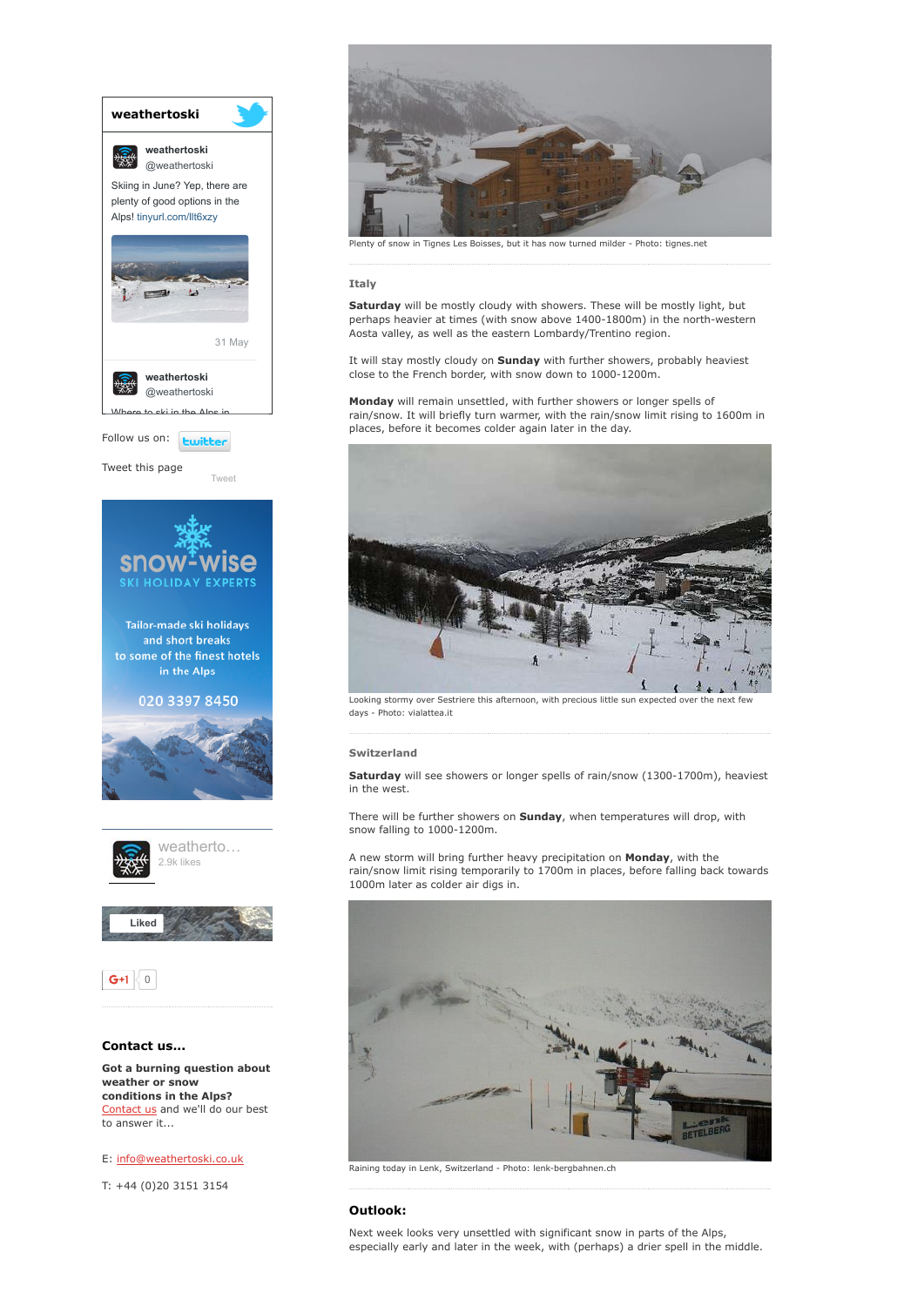

E: [info@weathertoski.co.uk](mailto:fraser@weathertoski.co.uk)

T: +44 (0)20 3151 3154



#### Italy

Saturday will be mostly cloudy with showers. These will be mostly light, but perhaps heavier at times (with snow above 1400-1800m) in the north-western Aosta valley, as well as the eastern Lombardy/Trentino region.

It will stay mostly cloudy on Sunday with further showers, probably heaviest close to the French border, with snow down to 1000-1200m.

Monday will remain unsettled, with further showers or longer spells of rain/snow. It will briefly turn warmer, with the rain/snow limit rising to 1600m in places, before it becomes colder again later in the day.



Looking stormy over Sestriere this afternoon, with precious little sun expected over the next few days - Photo: vialattea.it

#### Switzerland

Saturday will see showers or longer spells of rain/snow (1300-1700m), heaviest in the west.

There will be further showers on Sunday, when temperatures will drop, with snow falling to 1000-1200m.

A new storm will bring further heavy precipitation on Monday, with the rain/snow limit rising temporarily to 1700m in places, before falling back towards 1000m later as colder air digs in.



Raining today in Lenk, Switzerland - Photo: lenk-bergbahnen.ch

### Outlook:

Next week looks very unsettled with significant snow in parts of the Alps, especially early and later in the week, with (perhaps) a drier spell in the middle.